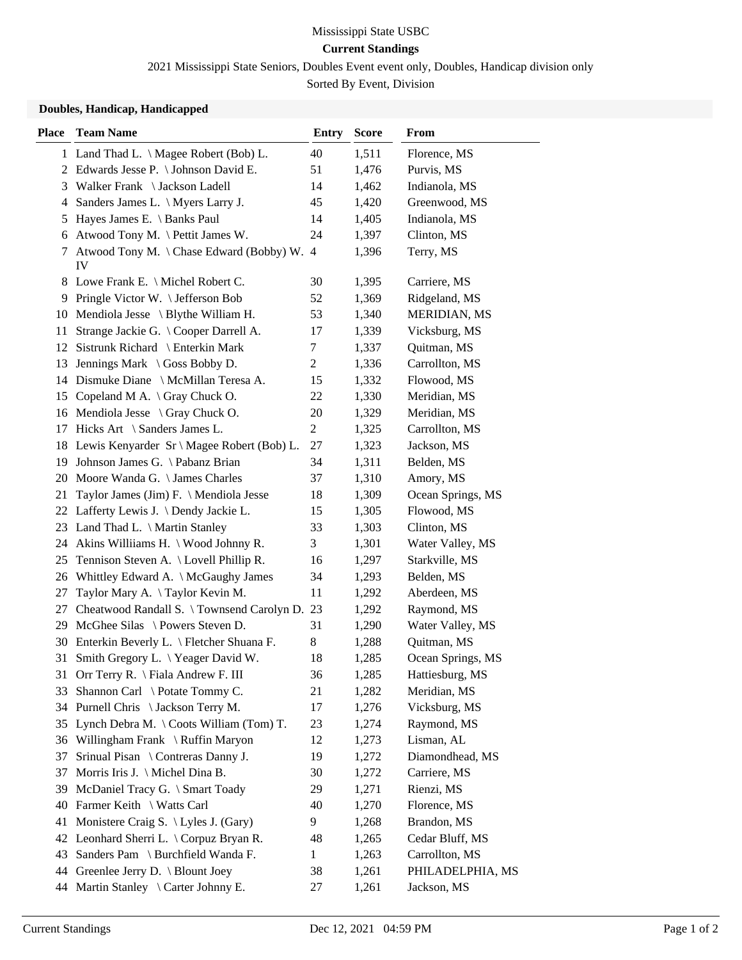## Mississippi State USBC **Current Standings**

2021 Mississippi State Seniors, Doubles Event event only, Doubles, Handicap division only

Sorted By Event, Division

## **Doubles, Handicap, Handicapped**

| <b>Place</b> | <b>Team Name</b>                                 | <b>Entry</b> | <b>Score</b> | <b>From</b>       |
|--------------|--------------------------------------------------|--------------|--------------|-------------------|
|              | 1 Land Thad L. \ Magee Robert (Bob) L.           | 40           | 1,511        | Florence, MS      |
|              | 2 Edwards Jesse P. \ Johnson David E.            | 51           | 1,476        | Purvis, MS        |
| 3            | Walker Frank \ Jackson Ladell                    | 14           | 1,462        | Indianola, MS     |
| 4            | Sanders James L. \ Myers Larry J.                | 45           | 1,420        | Greenwood, MS     |
| 5            | Hayes James E. \ Banks Paul                      | 14           | 1,405        | Indianola, MS     |
| 6            | Atwood Tony M. \ Pettit James W.                 | 24           | 1,397        | Clinton, MS       |
| 7            | Atwood Tony M. \ Chase Edward (Bobby) W. 4<br>IV |              | 1,396        | Terry, MS         |
|              | 8 Lowe Frank E. \ Michel Robert C.               | 30           | 1,395        | Carriere, MS      |
| 9            | Pringle Victor W. \ Jefferson Bob                | 52           | 1,369        | Ridgeland, MS     |
| 10           | Mendiola Jesse $\setminus$ Blythe William H.     | 53           | 1,340        | MERIDIAN, MS      |
| 11           | Strange Jackie G. \Cooper Darrell A.             | 17           | 1,339        | Vicksburg, MS     |
| 12           | Sistrunk Richard \ Enterkin Mark                 | 7            | 1,337        | Quitman, MS       |
| 13           | Jennings Mark \ Goss Bobby D.                    | 2            | 1,336        | Carrollton, MS    |
|              | 14 Dismuke Diane \ McMillan Teresa A.            | 15           | 1,332        | Flowood, MS       |
|              | 15 Copeland M A. \ Gray Chuck O.                 | 22           | 1,330        | Meridian, MS      |
|              | 16 Mendiola Jesse \ Gray Chuck O.                | 20           | 1,329        | Meridian, MS      |
| 17           | Hicks Art \ Sanders James L.                     | 2            | 1,325        | Carrollton, MS    |
|              | 18 Lewis Kenyarder Sr \ Magee Robert (Bob) L.    | 27           | 1,323        | Jackson, MS       |
|              | 19 Johnson James G. \Pabanz Brian                | 34           | 1,311        | Belden, MS        |
| 20           | Moore Wanda G. \ James Charles                   | 37           | 1,310        | Amory, MS         |
| 21           | Taylor James (Jim) F. \ Mendiola Jesse           | 18           | 1,309        | Ocean Springs, MS |
|              | 22 Lafferty Lewis J. \Dendy Jackie L.            | 15           | 1,305        | Flowood, MS       |
|              | 23 Land Thad L. \ Martin Stanley                 | 33           | 1,303        | Clinton, MS       |
|              | 24 Akins Williams H. \ Wood Johnny R.            | 3            | 1,301        | Water Valley, MS  |
| 25           | Tennison Steven A. \ Lovell Phillip R.           | 16           | 1,297        | Starkville, MS    |
| 26           | Whittley Edward A. \ McGaughy James              | 34           | 1,293        | Belden, MS        |
| 27           | Taylor Mary A. \Taylor Kevin M.                  | 11           | 1,292        | Aberdeen, MS      |
| 27           | Cheatwood Randall S. \Townsend Carolyn D. 23     |              | 1,292        | Raymond, MS       |
| 29           | McGhee Silas \ Powers Steven D.                  | 31           | 1,290        | Water Valley, MS  |
| 30           | Enterkin Beverly L. \ Fletcher Shuana F.         | 8            | 1,288        | Quitman, MS       |
| 31           | Smith Gregory L. \Yeager David W.                | 18           | 1,285        | Ocean Springs, MS |
| 31           | Orr Terry R. \ Fiala Andrew F. III               | 36           | 1,285        | Hattiesburg, MS   |
| 33           | Shannon Carl \ Potate Tommy C.                   | 21           | 1,282        | Meridian, MS      |
|              | 34 Purnell Chris \Jackson Terry M.               | 17           | 1,276        | Vicksburg, MS     |
|              | 35 Lynch Debra M. \ Coots William (Tom) T.       | 23           | 1,274        | Raymond, MS       |
| 36           | Willingham Frank \ Ruffin Maryon                 | 12           | 1,273        | Lisman, AL        |
| 37           | Srinual Pisan \ Contreras Danny J.               | 19           | 1,272        | Diamondhead, MS   |
| 37           | Morris Iris J. \ Michel Dina B.                  | 30           | 1,272        | Carriere, MS      |
| 39           | McDaniel Tracy G. \ Smart Toady                  | 29           | 1,271        | Rienzi, MS        |
| 40           | Farmer Keith \ Watts Carl                        | 40           | 1,270        | Florence, MS      |
| 41           | Monistere Craig S. \ Lyles J. (Gary)             | 9            | 1,268        | Brandon, MS       |
|              | 42 Leonhard Sherri L. \ Corpuz Bryan R.          | 48           | 1,265        | Cedar Bluff, MS   |
| 43           | Sanders Pam \ Burchfield Wanda F.                | $\mathbf{1}$ | 1,263        | Carrollton, MS    |
| 44           | Greenlee Jerry D. \ Blount Joey                  | 38           | 1,261        | PHILADELPHIA, MS  |
| 44           | Martin Stanley \ Carter Johnny E.                | 27           | 1,261        | Jackson, MS       |